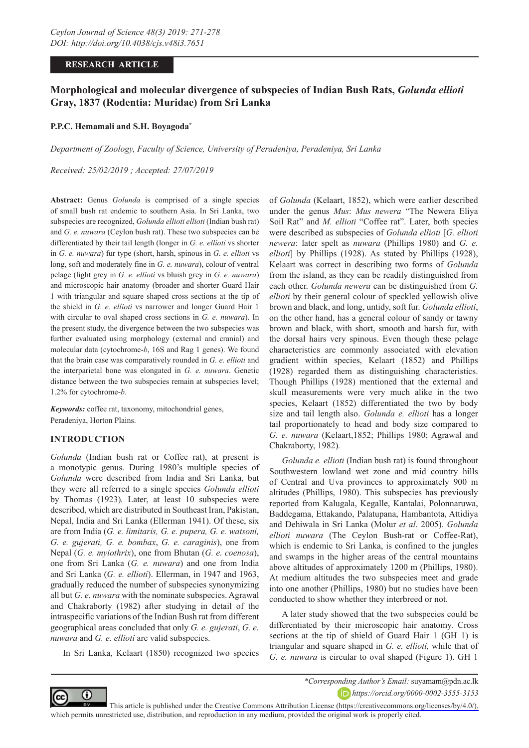## **RESEARCH ARTICLE**

# **Morphological and molecular divergence of subspecies of Indian Bush Rats,** *Golunda ellioti* **Gray, 1837 (Rodentia: Muridae) from Sri Lanka**

#### **P.P.C. Hemamali and S.H. Boyagoda\***

*Department of Zoology, Faculty of Science, University of Peradeniya, Peradeniya, Sri Lanka*

*Received: 25/02/2019 ; Accepted: 27/07/2019*

**Abstract:** Genus *Golunda* is comprised of a single species of small bush rat endemic to southern Asia. In Sri Lanka, two subspecies are recognized, *Golunda ellioti ellioti* (Indian bush rat) and *G. e. nuwara* (Ceylon bush rat). These two subspecies can be differentiated by their tail length (longer in *G. e. ellioti* vs shorter in *G. e. nuwara*) fur type (short, harsh, spinous in *G. e. ellioti* vs long, soft and moderately fine in *G. e. nuwara*), colour of ventral pelage (light grey in *G. e. ellioti* vs bluish grey in *G. e. nuwara*) and microscopic hair anatomy (broader and shorter Guard Hair 1 with triangular and square shaped cross sections at the tip of the shield in *G. e. ellioti* vs narrower and longer Guard Hair 1 with circular to oval shaped cross sections in *G. e. nuwara*). In the present study, the divergence between the two subspecies was further evaluated using morphology (external and cranial) and molecular data (cytochrome-*b*, 16S and Rag 1 genes). We found that the brain case was comparatively rounded in *G. e. ellioti* and the interparietal bone was elongated in *G. e. nuwara*. Genetic distance between the two subspecies remain at subspecies level; 1.2% for cytochrome-*b*.

*Keywords:* coffee rat, taxonomy, mitochondrial genes, Peradeniya, Horton Plains.

## **INTRODUCTION**

*Golunda* (Indian bush rat or Coffee rat), at present is a monotypic genus. During 1980's multiple species of *Golunda* were described from India and Sri Lanka, but they were all referred to a single species *Golunda ellioti* by Thomas (1923)*.* Later, at least 10 subspecies were described, which are distributed in Southeast Iran, Pakistan, Nepal, India and Sri Lanka (Ellerman 1941). Of these, six are from India (*G. e. limitaris, G. e. pupera, G. e. watsoni, G. e. gujerati, G. e. bombax*, *G. e. caraginis*), one from Nepal (*G. e. myiothrix*), one from Bhutan (*G. e. coenosa*), one from Sri Lanka (*G. e. nuwara*) and one from India and Sri Lanka (*G. e. ellioti*). Ellerman, in 1947 and 1963, gradually reduced the number of subspecies synonymizing all but *G. e. nuwara* with the nominate subspecies. Agrawal and Chakraborty (1982) after studying in detail of the intraspecific variations of the Indian Bush rat from different geographical areas concluded that only *G. e. gujerati*, *G. e. nuwara* and *G. e. ellioti* are valid subspecies.

In Sri Lanka, Kelaart (1850) recognized two species

of *Golunda* (Kelaart, 1852), which were earlier described under the genus *Mus*: *Mus newera* "The Newera Eliya Soil Rat" and *M. ellioti* "Coffee rat". Later, both species were described as subspecies of *Golunda ellioti* [*G. ellioti newera*: later spelt as *nuwara* (Phillips 1980) and *G. e. ellioti*] by Phillips (1928). As stated by Phillips (1928), Kelaart was correct in describing two forms of *Golunda* from the island, as they can be readily distinguished from each other. *Golunda newera* can be distinguished from *G. ellioti* by their general colour of speckled yellowish olive brown and black, and long, untidy, soft fur. *Golunda ellioti*, on the other hand, has a general colour of sandy or tawny brown and black, with short, smooth and harsh fur, with the dorsal hairs very spinous. Even though these pelage characteristics are commonly associated with elevation gradient within species, Kelaart (1852) and Phillips (1928) regarded them as distinguishing characteristics. Though Phillips (1928) mentioned that the external and skull measurements were very much alike in the two species, Kelaart (1852) differentiated the two by body size and tail length also. *Golunda e. ellioti* has a longer tail proportionately to head and body size compared to *G. e. nuwara* (Kelaart,1852; Phillips 1980; Agrawal and Chakraborty, 1982)*.* 

*Golunda e. ellioti* (Indian bush rat) is found throughout Southwestern lowland wet zone and mid country hills of Central and Uva provinces to approximately 900 m altitudes (Phillips, 1980). This subspecies has previously reported from Kalugala, Kegalle, Kantalai, Polonnaruwa, Baddegama, Ettakando, Palatupana, Hambantota, Attidiya and Dehiwala in Sri Lanka (Molur *et al*. 2005). *Golunda ellioti nuwara* (The Ceylon Bush-rat or Coffee-Rat), which is endemic to Sri Lanka, is confined to the jungles and swamps in the higher areas of the central mountains above altitudes of approximately 1200 m (Phillips, 1980). At medium altitudes the two subspecies meet and grade into one another (Phillips, 1980) but no studies have been conducted to show whether they interbreed or not.

A later study showed that the two subspecies could be differentiated by their microscopic hair anatomy. Cross sections at the tip of shield of Guard Hair 1 (GH 1) is triangular and square shaped in *G. e. ellioti,* while that of *G. e. nuwara* is circular to oval shaped (Figure 1). GH 1



*\*Corresponding Author's Email:* suyamam@pdn.ac.lk *https://orcid.org/0000-0002-3555-3153*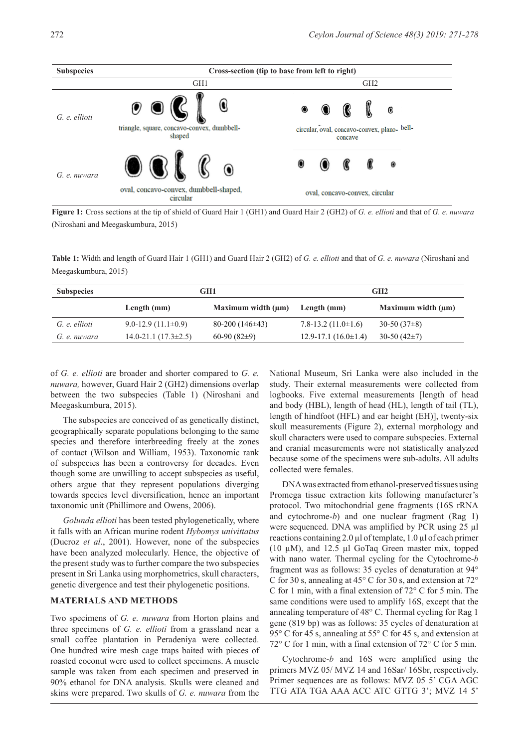

**Figure 1:** Cross sections at the tip of shield of Guard Hair 1 (GH1) and Guard Hair 2 (GH2) of *G. e. ellioti* and that of *G. e. nuwara* (Niroshani and Meegaskumbura, 2015)

**Table 1:** Width and length of Guard Hair 1 (GH1) and Guard Hair 2 (GH2) of *G. e. ellioti* and that of *G. e. nuwara* (Niroshani and Meegaskumbura, 2015)

| <b>Subspecies</b> |                             | GH1                     | GH <sub>2</sub>             |                         |  |
|-------------------|-----------------------------|-------------------------|-----------------------------|-------------------------|--|
|                   | Length $(mm)$               | Maximum width $(\mu m)$ | Length $(mm)$               | Maximum width $(\mu m)$ |  |
| G. e. ellioti     | $9.0 - 12.9(11.1 \pm 0.9)$  | $80-200(146\pm43)$      | 7.8-13.2 $(11.0 \pm 1.6)$   | 30-50 $(37\pm8)$        |  |
| G. e. nuwara      | $14.0 - 21.1(17.3 \pm 2.5)$ | 60-90 $(82\pm9)$        | $12.9 - 17.1(16.0 \pm 1.4)$ | $30-50(42\pm7)$         |  |

of *G. e. ellioti* are broader and shorter compared to *G. e. nuwara,* however, Guard Hair 2 (GH2) dimensions overlap between the two subspecies (Table 1) (Niroshani and Meegaskumbura, 2015).

The subspecies are conceived of as genetically distinct, geographically separate populations belonging to the same species and therefore interbreeding freely at the zones of contact (Wilson and William, 1953). Taxonomic rank of subspecies has been a controversy for decades. Even though some are unwilling to accept subspecies as useful, others argue that they represent populations diverging towards species level diversification, hence an important taxonomic unit (Phillimore and Owens, 2006).

*Golunda ellioti* has been tested phylogenetically, where it falls with an African murine rodent *Hybomys univittatus* (Ducroz *et al*., 2001). However, none of the subspecies have been analyzed molecularly. Hence, the objective of the present study was to further compare the two subspecies present in Sri Lanka using morphometrics, skull characters, genetic divergence and test their phylogenetic positions.

### **MATERIALS AND METHODS**

Two specimens of *G. e. nuwara* from Horton plains and three specimens of *G. e. ellioti* from a grassland near a small coffee plantation in Peradeniya were collected. One hundred wire mesh cage traps baited with pieces of roasted coconut were used to collect specimens. A muscle sample was taken from each specimen and preserved in 90% ethanol for DNA analysis. Skulls were cleaned and skins were prepared. Two skulls of *G. e. nuwara* from the

National Museum, Sri Lanka were also included in the study. Their external measurements were collected from logbooks. Five external measurements [length of head and body (HBL), length of head (HL), length of tail (TL), length of hindfoot (HFL) and ear height (EH)], twenty-six skull measurements (Figure 2), external morphology and skull characters were used to compare subspecies. External and cranial measurements were not statistically analyzed because some of the specimens were sub-adults. All adults collected were females.

DNA was extracted from ethanol-preserved tissues using Promega tissue extraction kits following manufacturer's protocol. Two mitochondrial gene fragments (16S rRNA and cytochrome-*b*) and one nuclear fragment (Rag 1) were sequenced. DNA was amplified by PCR using 25 µl reactions containing 2.0 µl of template, 1.0 µl of each primer (10 µM), and 12.5 µl GoTaq Green master mix, topped with nano water. Thermal cycling for the Cytochrome-*b* fragment was as follows: 35 cycles of denaturation at 94° C for 30 s, annealing at 45° C for 30 s, and extension at 72° C for 1 min, with a final extension of 72° C for 5 min. The same conditions were used to amplify 16S, except that the annealing temperature of 48° C. Thermal cycling for Rag 1 gene (819 bp) was as follows: 35 cycles of denaturation at 95° C for 45 s, annealing at 55° C for 45 s, and extension at 72° C for 1 min, with a final extension of 72° C for 5 min.

Cytochrome-*b* and 16S were amplified using the primers MVZ 05/ MVZ 14 and 16Sar/ 16Sbr, respectively. Primer sequences are as follows: MVZ 05 5' CGA AGC TTG ATA TGA AAA ACC ATC GTTG 3'; MVZ 14 5'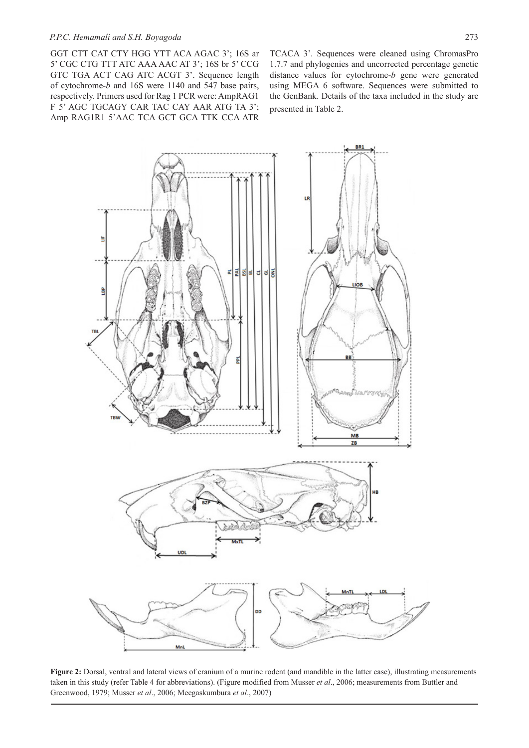GGT CTT CAT CTY HGG YTT ACA AGAC 3'; 16S ar 5' CGC CTG TTT ATC AAA AAC AT 3'; 16S br 5' CCG GTC TGA ACT CAG ATC ACGT 3'. Sequence length of cytochrome-*b* and 16S were 1140 and 547 base pairs, respectively. Primers used for Rag 1 PCR were: AmpRAG1 F 5' AGC TGCAGY CAR TAC CAY AAR ATG TA 3'; Amp RAG1R1 5'AAC TCA GCT GCA TTK CCA ATR

TCACA 3'. Sequences were cleaned using ChromasPro 1.7.7 and phylogenies and uncorrected percentage genetic distance values for cytochrome-*b* gene were generated using MEGA 6 software. Sequences were submitted to the GenBank. Details of the taxa included in the study are presented in Table 2.



**Figure 2:** Dorsal, ventral and lateral views of cranium of a murine rodent (and mandible in the latter case), illustrating measurements taken in this study (refer Table 4 for abbreviations). (Figure modified from Musser *et al*., 2006; measurements from Buttler and Greenwood, 1979; Musser *et al*., 2006; Meegaskumbura *et al*., 2007)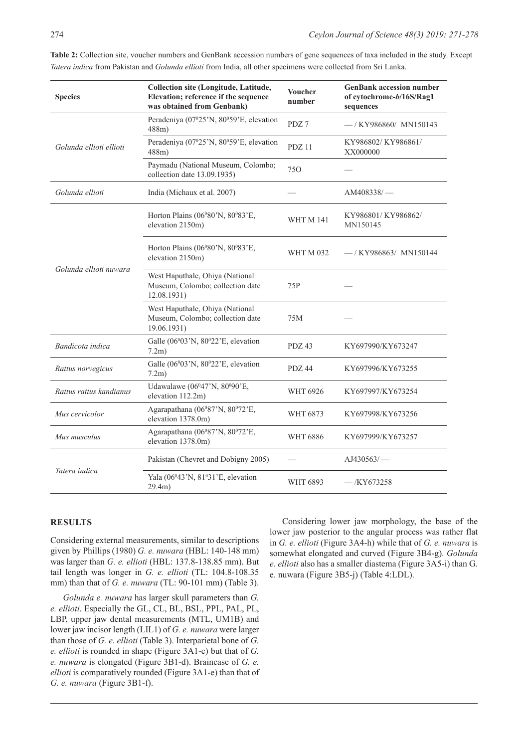| <b>Species</b>                                 | Collection site (Longitude, Latitude,<br>Elevation; reference if the sequence<br>was obtained from Genbank) | <b>Voucher</b><br>number | <b>GenBank accession number</b><br>of cytochrome-b/16S/Rag1<br>sequences |  |
|------------------------------------------------|-------------------------------------------------------------------------------------------------------------|--------------------------|--------------------------------------------------------------------------|--|
|                                                | Peradeniya (07°25'N, 80°59'E, elevation<br>488m                                                             | PDZ 7                    | $-$ /KY986860/MN150143                                                   |  |
| Golunda ellioti ellioti                        | Peradeniya (07º25'N, 80º59'E, elevation<br>$488m$ )                                                         | PDZ 11                   | KY986802/KY986861/<br>XX000000                                           |  |
|                                                | Paymadu (National Museum, Colombo;<br>collection date 13.09.1935)                                           | 750                      |                                                                          |  |
| Golunda ellioti<br>India (Michaux et al. 2007) |                                                                                                             |                          | AM408338/                                                                |  |
|                                                | Horton Plains (06°80'N, 80°83'E,<br>elevation 2150m)                                                        | <b>WHT M 141</b>         | KY986801/KY986862/<br>MN150145                                           |  |
|                                                | Horton Plains (06°80'N, 80°83'E,<br>elevation 2150m)                                                        | WHT M 032                | -/KY986863/MN150144                                                      |  |
| Golunda ellioti nuwara                         | West Haputhale, Ohiya (National<br>Museum, Colombo; collection date<br>12.08.1931)                          | 75P                      |                                                                          |  |
|                                                | West Haputhale, Ohiya (National<br>Museum, Colombo; collection date<br>19.06.1931)                          | 75M                      |                                                                          |  |
| Bandicota indica                               | Galle (06°03'N, 80°22'E, elevation<br>7.2m)                                                                 | PDZ <sub>43</sub>        | KY697990/KY673247                                                        |  |
| Rattus norvegicus                              | Galle $(06^003'N, 80^022'E,$ elevation<br>$7.2m$ )                                                          |                          | KY697996/KY673255                                                        |  |
| Rattus rattus kandianus                        | Udawalawe (06°47'N, 80°90'E,<br>elevation 112.2m)                                                           |                          | KY697997/KY673254                                                        |  |
| Mus cervicolor                                 | Agarapathana (06°87'N, 80°72'E,<br>elevation 1378.0m)                                                       |                          | KY697998/KY673256                                                        |  |
| Mus musculus                                   | Agarapathana (06°87'N, 80°72'E,<br>elevation 1378.0m)                                                       |                          | KY697999/KY673257                                                        |  |
|                                                | Pakistan (Chevret and Dobigny 2005)                                                                         |                          | $A$ J430563/ $-$                                                         |  |
| Tatera indica                                  | Yala $(06^043^{\prime}N, 81^031^{\prime}E,$ elevation<br>29.4m)                                             | WHT 6893                 | $-KY673258$                                                              |  |

**Table 2:** Collection site, voucher numbers and GenBank accession numbers of gene sequences of taxa included in the study. Except *Tatera indica* from Pakistan and *Golunda ellioti* from India, all other specimens were collected from Sri Lanka.

## **RESULTS**

Considering external measurements, similar to descriptions given by Phillips (1980) *G. e. nuwara* (HBL: 140-148 mm) was larger than *G. e. ellioti* (HBL: 137.8-138.85 mm). But tail length was longer in *G. e. ellioti* (TL: 104.8-108.35 mm) than that of *G. e. nuwara* (TL: 90-101 mm) (Table 3).

*Golunda e. nuwara* has larger skull parameters than *G. e. ellioti*. Especially the GL, CL, BL, BSL, PPL, PAL, PL, LBP, upper jaw dental measurements (MTL, UM1B) and lower jaw incisor length (LIL1) of *G. e. nuwara* were larger than those of *G. e. ellioti* (Table 3). Interparietal bone of *G. e. ellioti* is rounded in shape (Figure 3A1-c) but that of *G. e. nuwara* is elongated (Figure 3B1-d). Braincase of *G. e. ellioti* is comparatively rounded (Figure 3A1-e) than that of *G. e. nuwara* (Figure 3B1-f).

Considering lower jaw morphology, the base of the lower jaw posterior to the angular process was rather flat in *G. e. ellioti* (Figure 3A4-h) while that of *G. e. nuwara* is somewhat elongated and curved (Figure 3B4-g). *Golunda e. ellioti* also has a smaller diastema (Figure 3A5-i) than G. e. nuwara (Figure 3B5-j) (Table 4:LDL).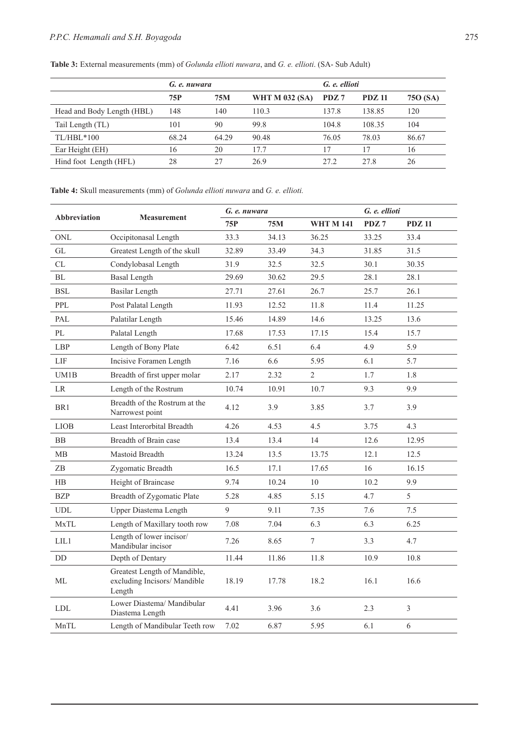|                            | G. e. nuwara |       |                       | G. e. ellioti |               |          |
|----------------------------|--------------|-------|-----------------------|---------------|---------------|----------|
|                            | 75P          | 75M   | <b>WHT M 032 (SA)</b> | PDZ 7         | <b>PDZ 11</b> | 750 (SA) |
| Head and Body Length (HBL) | 148          | 140   | 110.3                 | 137.8         | 138.85        | 120      |
| Tail Length (TL)           | 101          | 90    | 99.8                  | 104.8         | 108.35        | 104      |
| $TL/HBL*100$               | 68.24        | 64.29 | 90.48                 | 76.05         | 78.03         | 86.67    |
| Ear Height (EH)            | 16           | 20    | 17.7                  | 17            | 17            | 16       |
| Hind foot Length (HFL)     | 28           | 2.7   | 26.9                  | 27.2          | 27.8          | 26       |

**Table 3:** External measurements (mm) of *Golunda ellioti nuwara*, and *G. e. ellioti*. (SA- Sub Adult)

**Table 4:** Skull measurements (mm) of *Golunda ellioti nuwara* and *G. e. ellioti.*

| <b>Abbreviation</b>         | <b>Measurement</b>                                                     | G. e. nuwara |       |                  | G. e. ellioti |                |
|-----------------------------|------------------------------------------------------------------------|--------------|-------|------------------|---------------|----------------|
|                             |                                                                        | 75P          | 75M   | <b>WHT M 141</b> | PDZ7          | <b>PDZ 11</b>  |
| ONL                         | Occipitonasal Length                                                   | 33.3         | 34.13 | 36.25            | 33.25         | 33.4           |
| GL                          | Greatest Length of the skull                                           | 32.89        | 33.49 | 34.3             | 31.85         | 31.5           |
| CL                          | Condylobasal Length                                                    | 31.9         | 32.5  | 32.5             | 30.1          | 30.35          |
| BL                          | <b>Basal Length</b>                                                    | 29.69        | 30.62 | 29.5             | 28.1          | 28.1           |
| <b>BSL</b>                  | Basilar Length                                                         | 27.71        | 27.61 | 26.7             | 25.7          | 26.1           |
| PPL                         | Post Palatal Length                                                    | 11.93        | 12.52 | 11.8             | 11.4          | 11.25          |
| PAL                         | Palatilar Length                                                       | 15.46        | 14.89 | 14.6             | 13.25         | 13.6           |
| $\rm PL$                    | Palatal Length                                                         | 17.68        | 17.53 | 17.15            | 15.4          | 15.7           |
| LBP                         | Length of Bony Plate                                                   | 6.42         | 6.51  | 6.4              | 4.9           | 5.9            |
| LIF                         | Incisive Foramen Length                                                | 7.16         | 6.6   | 5.95             | 6.1           | 5.7            |
| UM1B                        | Breadth of first upper molar                                           | 2.17         | 2.32  | $\overline{2}$   | 1.7           | 1.8            |
| LR                          | Length of the Rostrum                                                  | 10.74        | 10.91 | 10.7             | 9.3           | 9.9            |
| BR1                         | Breadth of the Rostrum at the<br>Narrowest point                       | 4.12         | 3.9   | 3.85             | 3.7           | 3.9            |
| <b>LIOB</b>                 | Least Interorbital Breadth                                             | 4.26         | 4.53  | 4.5              | 3.75          | 4.3            |
| <b>BB</b>                   | Breadth of Brain case                                                  | 13.4         | 13.4  | 14               | 12.6          | 12.95          |
| $\rm MB$                    | Mastoid Breadth                                                        | 13.24        | 13.5  | 13.75            | 12.1          | 12.5           |
| ZB                          | Zygomatic Breadth                                                      | 16.5         | 17.1  | 17.65            | 16            | 16.15          |
| HB                          | Height of Braincase                                                    | 9.74         | 10.24 | 10               | 10.2          | 9.9            |
| BZP                         | Breadth of Zygomatic Plate                                             | 5.28         | 4.85  | 5.15             | 4.7           | 5              |
| $\ensuremath{\mathrm{UDL}}$ | Upper Diastema Length                                                  | 9            | 9.11  | 7.35             | 7.6           | 7.5            |
| MxTL                        | Length of Maxillary tooth row                                          | 7.08         | 7.04  | 6.3              | 6.3           | 6.25           |
| LIL1                        | Length of lower incisor/<br>Mandibular incisor                         | 7.26         | 8.65  | $\tau$           | 3.3           | 4.7            |
| $\rm{DD}$                   | Depth of Dentary                                                       | 11.44        | 11.86 | 11.8             | 10.9          | 10.8           |
| ML                          | Greatest Length of Mandible,<br>excluding Incisors/ Mandible<br>Length | 18.19        | 17.78 | 18.2             | 16.1          | 16.6           |
| <b>LDL</b>                  | Lower Diastema/ Mandibular<br>Diastema Length                          | 4.41         | 3.96  | 3.6              | 2.3           | $\overline{3}$ |
| MnTL                        | Length of Mandibular Teeth row                                         | 7.02         | 6.87  | 5.95             | 6.1           | 6              |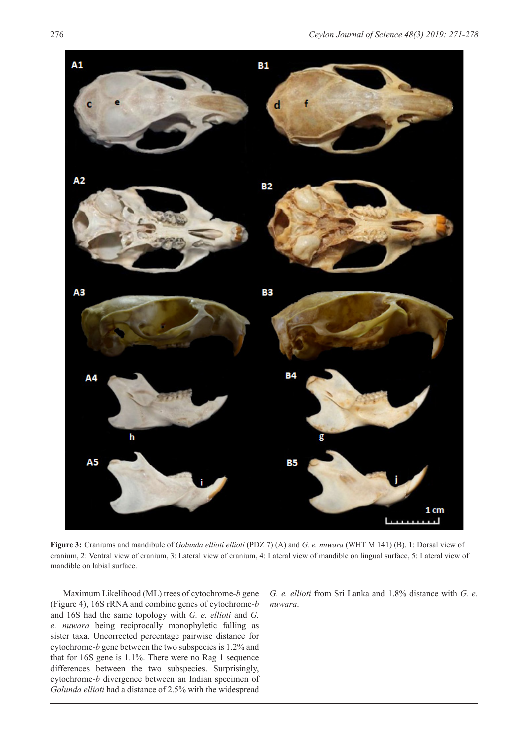

**Figure 3:** Craniums and mandibule of *Golunda ellioti ellioti* (PDZ 7) (A) and *G. e. nuwara* (WHT M 141) (B). 1: Dorsal view of cranium, 2: Ventral view of cranium, 3: Lateral view of cranium, 4: Lateral view of mandible on lingual surface, 5: Lateral view of mandible on labial surface.

Maximum Likelihood (ML) trees of cytochrome-*b* gene (Figure 4), 16S rRNA and combine genes of cytochrome-*b* and 16S had the same topology with *G. e. ellioti* and *G. e. nuwara* being reciprocally monophyletic falling as sister taxa. Uncorrected percentage pairwise distance for cytochrome-*b* gene between the two subspecies is 1.2% and that for 16S gene is 1.1%. There were no Rag 1 sequence differences between the two subspecies. Surprisingly, cytochrome-*b* divergence between an Indian specimen of *Golunda ellioti* had a distance of 2.5% with the widespread

*G. e. ellioti* from Sri Lanka and 1.8% distance with *G. e. nuwara*.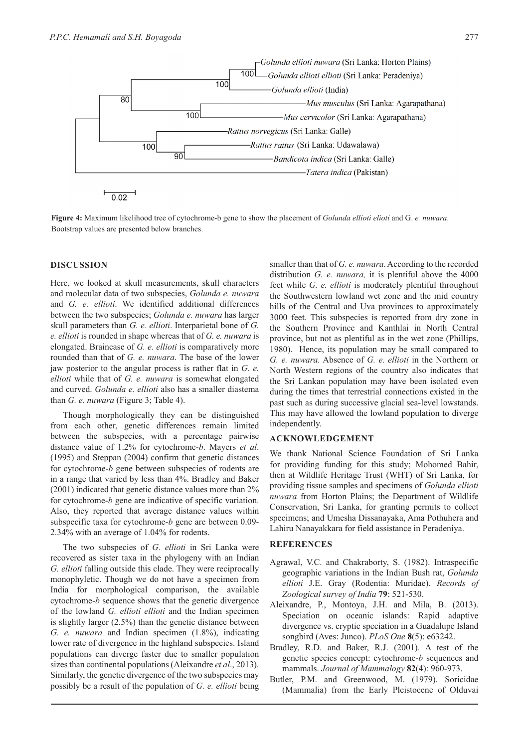

**Figure 4:** Maximum likelihood tree of cytochrome-b gene to show the placement of *Golunda ellioti elioti* and G. *e. nuwara*. Bootstrap values are presented below branches.

#### **DISCUSSION**

Here, we looked at skull measurements, skull characters and molecular data of two subspecies, *Golunda e. nuwara* and *G. e. ellioti*. We identified additional differences between the two subspecies; *Golunda e. nuwara* has larger skull parameters than *G. e. ellioti*. Interparietal bone of *G. e. ellioti* is rounded in shape whereas that of *G. e. nuwara* is elongated. Braincase of *G. e. ellioti* is comparatively more rounded than that of *G. e. nuwara*. The base of the lower jaw posterior to the angular process is rather flat in *G. e. ellioti* while that of *G. e. nuwara* is somewhat elongated and curved. *Golunda e. ellioti* also has a smaller diastema than *G. e. nuwara* (Figure 3; Table 4).

Though morphologically they can be distinguished from each other, genetic differences remain limited between the subspecies, with a percentage pairwise distance value of 1.2% for cytochrome-*b*. Mayers *et al*. (1995) and Steppan (2004) confirm that genetic distances for cytochrome-*b* gene between subspecies of rodents are in a range that varied by less than 4%. Bradley and Baker (2001) indicated that genetic distance values more than 2% for cytochrome-*b* gene are indicative of specific variation. Also, they reported that average distance values within subspecific taxa for cytochrome-*b* gene are between 0.09- 2.34% with an average of 1.04% for rodents.

The two subspecies of *G. ellioti* in Sri Lanka were recovered as sister taxa in the phylogeny with an Indian *G. ellioti* falling outside this clade. They were reciprocally monophyletic. Though we do not have a specimen from India for morphological comparison, the available cytochrome-*b* sequence shows that the genetic divergence of the lowland *G. ellioti ellioti* and the Indian specimen is slightly larger (2.5%) than the genetic distance between *G. e. nuwara* and Indian specimen (1.8%), indicating lower rate of divergence in the highland subspecies. Island populations can diverge faster due to smaller population sizes than continental populations (Aleixandre *et al*., 2013)*.*  Similarly, the genetic divergence of the two subspecies may possibly be a result of the population of *G. e. ellioti* being smaller than that of *G. e. nuwara*. According to the recorded distribution *G. e. nuwara,* it is plentiful above the 4000 feet while *G. e. ellioti* is moderately plentiful throughout the Southwestern lowland wet zone and the mid country hills of the Central and Uva provinces to approximately 3000 feet. This subspecies is reported from dry zone in the Southern Province and Kanthlai in North Central province, but not as plentiful as in the wet zone (Phillips, 1980). Hence, its population may be small compared to *G. e. nuwara.* Absence of *G. e. ellioti* in the Northern or North Western regions of the country also indicates that the Sri Lankan population may have been isolated even during the times that terrestrial connections existed in the past such as during successive glacial sea-level lowstands. This may have allowed the lowland population to diverge independently.

#### **ACKNOWLEDGEMENT**

We thank National Science Foundation of Sri Lanka for providing funding for this study; Mohomed Bahir, then at Wildlife Heritage Trust (WHT) of Sri Lanka, for providing tissue samples and specimens of *Golunda ellioti nuwara* from Horton Plains; the Department of Wildlife Conservation, Sri Lanka, for granting permits to collect specimens; and Umesha Dissanayaka, Ama Pothuhera and Lahiru Nanayakkara for field assistance in Peradeniya.

#### **REFERENCES**

- Agrawal, V.C. and Chakraborty, S. (1982). Intraspecific geographic variations in the Indian Bush rat, *Golunda ellioti* J.E. Gray (Rodentia: Muridae). *Records of Zoological survey of India* **79**: 521-530.
- Aleixandre, P., Montoya, J.H. and Mila, B. (2013). Speciation on oceanic islands: Rapid adaptive divergence vs. cryptic speciation in a Guadalupe Island songbird (Aves: Junco). *PLoS One* **8**(5): e63242.
- Bradley, R.D. and Baker, R.J. (2001). A test of the genetic species concept: cytochrome-*b* sequences and mammals. *Journal of Mammalogy* **82**(4): 960-973.
- Butler, P.M. and Greenwood, M. (1979). Soricidae (Mammalia) from the Early Pleistocene of Olduvai